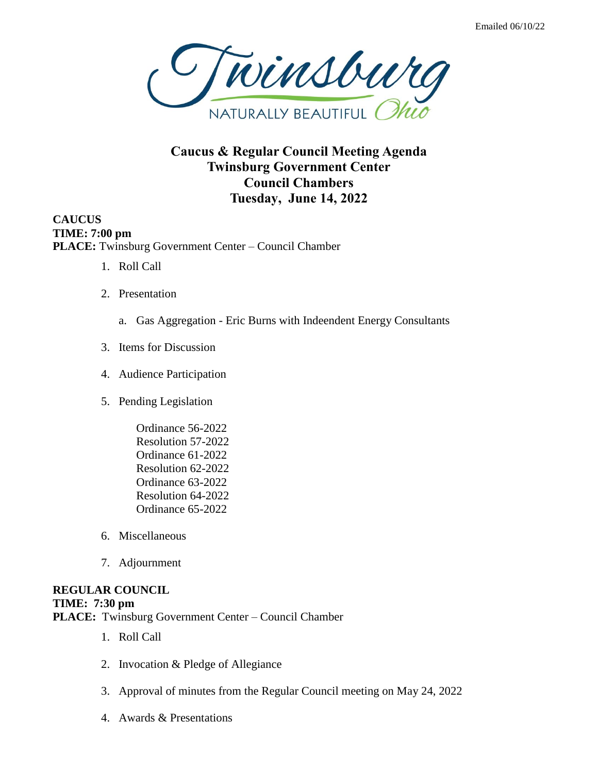

## **Caucus & Regular Council Meeting Agenda Twinsburg Government Center Council Chambers Tuesday, June 14, 2022**

**CAUCUS TIME: 7:00 pm PLACE:** Twinsburg Government Center – Council Chamber

- 1. Roll Call
- 2. Presentation
	- a. Gas Aggregation Eric Burns with Indeendent Energy Consultants
- 3. Items for Discussion
- 4. Audience Participation
- 5. Pending Legislation
	- Ordinance 56-2022 Resolution 57-2022 Ordinance 61-2022 Resolution 62-2022 Ordinance 63-2022 Resolution 64-2022 Ordinance 65-2022
- 6. Miscellaneous
- 7. Adjournment

## **REGULAR COUNCIL**

## **TIME: 7:30 pm**

**PLACE:** Twinsburg Government Center – Council Chamber

- 1. Roll Call
- 2. Invocation & Pledge of Allegiance
- 3. Approval of minutes from the Regular Council meeting on May 24, 2022
- 4. Awards & Presentations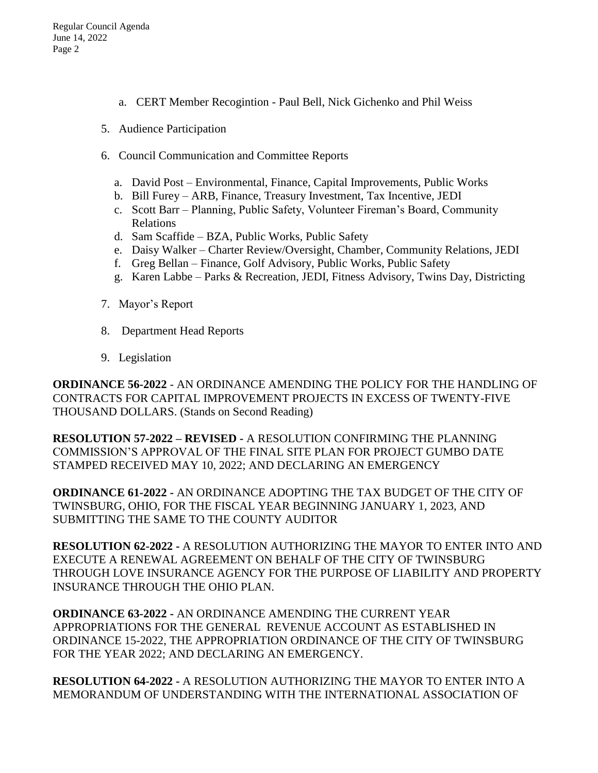- a. CERT Member Recogintion Paul Bell, Nick Gichenko and Phil Weiss
- 5. Audience Participation
- 6. Council Communication and Committee Reports
	- a. David Post Environmental, Finance, Capital Improvements, Public Works
	- b. Bill Furey ARB, Finance, Treasury Investment, Tax Incentive, JEDI
	- c. Scott Barr Planning, Public Safety, Volunteer Fireman's Board, Community Relations
	- d. Sam Scaffide BZA, Public Works, Public Safety
	- e. Daisy Walker Charter Review/Oversight, Chamber, Community Relations, JEDI
	- f. Greg Bellan Finance, Golf Advisory, Public Works, Public Safety
	- g. Karen Labbe Parks & Recreation, JEDI, Fitness Advisory, Twins Day, Districting
- 7. Mayor's Report
- 8. Department Head Reports
- 9. Legislation

**ORDINANCE 56-2022** - AN ORDINANCE AMENDING THE POLICY FOR THE HANDLING OF CONTRACTS FOR CAPITAL IMPROVEMENT PROJECTS IN EXCESS OF TWENTY-FIVE THOUSAND DOLLARS. (Stands on Second Reading)

**RESOLUTION 57-2022 – REVISED -** A RESOLUTION CONFIRMING THE PLANNING COMMISSION'S APPROVAL OF THE FINAL SITE PLAN FOR PROJECT GUMBO DATE STAMPED RECEIVED MAY 10, 2022; AND DECLARING AN EMERGENCY

**ORDINANCE 61-2022 -** AN ORDINANCE ADOPTING THE TAX BUDGET OF THE CITY OF TWINSBURG, OHIO, FOR THE FISCAL YEAR BEGINNING JANUARY 1, 2023, AND SUBMITTING THE SAME TO THE COUNTY AUDITOR

**RESOLUTION 62-2022 -** A RESOLUTION AUTHORIZING THE MAYOR TO ENTER INTO AND EXECUTE A RENEWAL AGREEMENT ON BEHALF OF THE CITY OF TWINSBURG THROUGH LOVE INSURANCE AGENCY FOR THE PURPOSE OF LIABILITY AND PROPERTY INSURANCE THROUGH THE OHIO PLAN.

**ORDINANCE 63-2022 -** AN ORDINANCE AMENDING THE CURRENT YEAR APPROPRIATIONS FOR THE GENERAL REVENUE ACCOUNT AS ESTABLISHED IN ORDINANCE 15-2022, THE APPROPRIATION ORDINANCE OF THE CITY OF TWINSBURG FOR THE YEAR 2022; AND DECLARING AN EMERGENCY.

**RESOLUTION 64-2022 -** A RESOLUTION AUTHORIZING THE MAYOR TO ENTER INTO A MEMORANDUM OF UNDERSTANDING WITH THE INTERNATIONAL ASSOCIATION OF